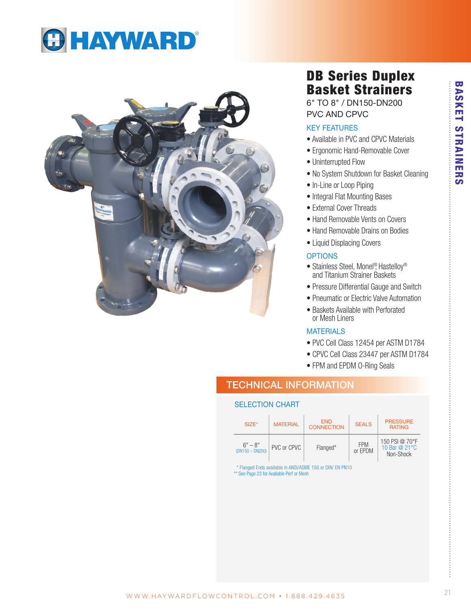



# DB Series Duplex Basket Strainers

6" TO 8" / DN150-DN200 PVC AND CPVC

### KEY FEATURES

- Available in PVC and CPVC Materials
- Ergonomic Hand-Removable Cover
- Uninterrupted Flow
- No System Shutdown for Basket Cleaning
- In-Line or Loop Piping
- Integral Flat Mounting Bases
- External Cover Threads
- Hand Removable Vents on Covers
- Hand Removable Drains on Bodies
- Liquid Displacing Covers

### **OPTIONS**

- Stainless Steel, Monel<sup>®</sup> Hastelloy<sup>®</sup> and Titanium Strainer Baskets
- Pressure Differential Gauge and Switch
- Pneumatic or Electric Valve Automation
- Baskets Available with Perforated or Mesh Liners

### **MATERIALS**

- PVC Cell Class 12454 per ASTM D1784
- CPVC Cell Class 23447 per ASTM D1784
- FPM and EPDM O-Ring Seals

### TECHNICAL INFORMATION

### SELECTION CHART

| SIZE*                          | <b>MATERIAL</b> | <b>END</b><br><b>CONNECTION</b> | <b>SEALS</b>          | <b>PRESSURE</b><br><b>RATING</b>             |  |
|--------------------------------|-----------------|---------------------------------|-----------------------|----------------------------------------------|--|
| $6" - 8"$<br>$(DN150 - DN200)$ | PVC or CPVC     | Flanged*                        | <b>FPM</b><br>or EPDM | 150 PSI @ 70°F<br>10 Bar @ 21°C<br>Non-Shock |  |

\* Flanged Ends available in ANSI/ASME 150 or DIN/ EN PN10

\*\* See Page 23 for Available Perf or Mesh